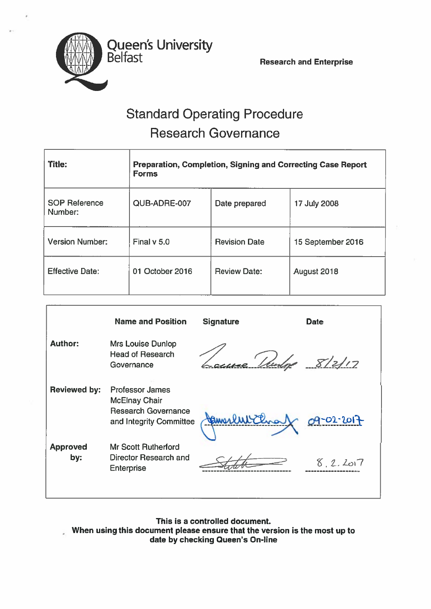Belfast Research and Enterprise

# Standard Operating Procedure Research Governance

Queen's University

| <b>Title:</b>                   | <b>Preparation, Completion, Signing and Correcting Case Report</b><br><b>Forms</b> |                      |                   |  |
|---------------------------------|------------------------------------------------------------------------------------|----------------------|-------------------|--|
| <b>SOP Reference</b><br>Number: | QUB-ADRE-007                                                                       | Date prepared        | 17 July 2008      |  |
| <b>Version Number:</b>          | Final $v$ 5.0                                                                      | <b>Revision Date</b> | 15 September 2016 |  |
| <b>Effective Date:</b>          | 01 October 2016                                                                    | <b>Review Date:</b>  | August 2018       |  |

|                        | <b>Name and Position</b>                                                                                | <b>Signature</b> | <b>Date</b> |
|------------------------|---------------------------------------------------------------------------------------------------------|------------------|-------------|
| <b>Author:</b>         | Mrs Louise Dunlop<br><b>Head of Research</b><br>Governance                                              | - 'Ilen          | 8/2/17      |
| <b>Reviewed by:</b>    | <b>Professor James</b><br><b>McElnay Chair</b><br><b>Research Governance</b><br>and Integrity Committee | amerlukthra)     | 09-02-2017  |
| <b>Approved</b><br>by: | <b>Mr Scott Rutherford</b><br>Director Research and<br><b>Enterprise</b>                                |                  | 8.2.2017    |

This is <sup>a</sup> controlled document. When using this document please ensure that the version is the most up to date by checking Queen's On-line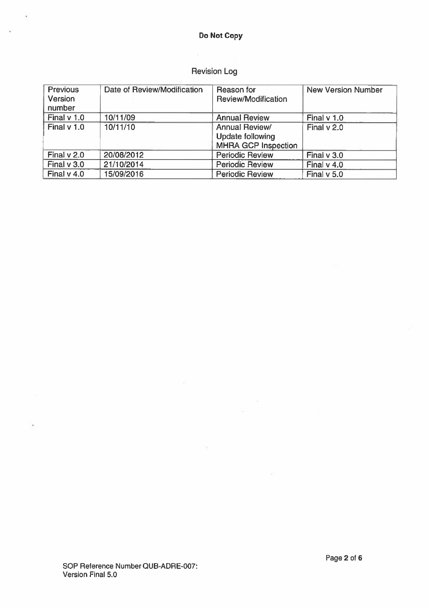# Do Not Copy

 $\hat{\mathbf{r}}$ 

 $\overline{\mathbf{x}}$ 

# Revision Log

| Previous<br>Version<br>number | Date of Review/Modification | Reason for<br>Review/Modification                                       | <b>New Version Number</b> |
|-------------------------------|-----------------------------|-------------------------------------------------------------------------|---------------------------|
| Final $v$ 1.0                 | 10/11/09                    | <b>Annual Review</b>                                                    | Final $v$ 1.0             |
| Final $v$ 1.0                 | 10/11/10                    | Annual Review/<br><b>Update following</b><br><b>MHRA GCP Inspection</b> | Final v 2.0               |
| Final $v$ 2.0                 | 20/08/2012                  | <b>Periodic Review</b>                                                  | Final v 3.0               |
| Final $v$ 3.0                 | 21/10/2014                  | <b>Periodic Review</b>                                                  | Final $v$ 4.0             |
| Final $v$ 4.0                 | 15/09/2016                  | <b>Periodic Review</b>                                                  | Final $v$ 5.0             |

 $\sim$ 

荵

 $\frac{1}{\sqrt{2}}$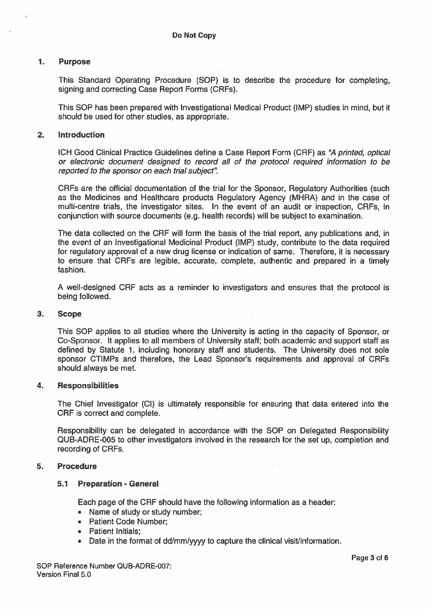#### 1. Purpose

This Standard Operating Procedure (SOP) is to describe the procedure for completing, signing and correcting Case Report Forms (CRFs).

This SOP has been prepared with Investigational Medical Product (IMP) studies in mind, but it should be used for other studies, as appropriate.

#### 2. Introduction

ICH Good Clinical Practice Guidelines define <sup>a</sup> Case Report Form (CRF) as "A printed, optical or electronic document designed to record all of the protocol required information to be reported to the sponsor on each trial subject"

CRFs are the official documentation of the trial for the Sponsor, Regulatory Authorities (such as the Medicines and Healthcare products Regulatory Agency (MHRA) and in the case of multi-centre trials, the investigator sites. In the event of an audit or inspection, CRFs, in conjunction with source documents (e.g. health records) will be subject to examination.

The data collected on the CRF will form the basis of the trial report, any publications and, in the event of an Investigational Medicinal Product (IMP) study, contribute to the data required for regulatory approval of <sup>a</sup> new drug license or indication of same. Therefore, it is necessary to ensure that CRFs are legible, accurate, complete, authentic and prepared in <sup>a</sup> timely fashion.

A well-designed CRF acts as <sup>a</sup> reminder to investigators and ensures that the protocol is being followed.

#### 3. Scope

This SOP applies to all studies where the University is acting in the capacity of Sponsor, or Co-Sponsor. It applies to all members of University staff; both academic and suppor<sup>t</sup> staff as defined by Statute 1, including honorary staff and students. The University does not sole sponsor CTIMPs and therefore, the Lead Sponsor's requirements and approval of CRFs should always be met.

#### 4. Responsibilities

The Chief Investigator (Cl) is ultimately responsible for ensuring that data entered into the CRF is correct and complete.

Responsibility can be delegated in accordance with the SOP on Delegated Responsibility QUB-ADRE-005 to other investigators involved in the research for the set up, completion and recording of CRFs.

#### 5. Procedure

#### 5.1 Preparation - General

Each page of the CRF should have the following information as <sup>a</sup> header:

- Name of study or study number;
- Patient Code Number
- Patient Initials;
- Date in the format of dd/mm/yyyy to capture the clinical visit/information.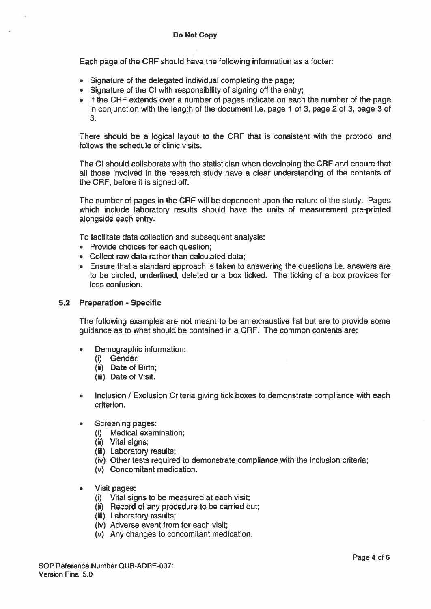Each page of the CRF should have the following information as <sup>a</sup> footer:

- Signature of the delegated individual completing the page;
- Signature of the Cl with responsibility of signing off the entry;
- If the CRF extends over <sup>a</sup> number of pages indicate on each the number of the page in conjunction with the length of the document i.e. page 1 of 3, page 2 of 3, page 3 of 3.

There should be <sup>a</sup> logical layout to the CRF that is consistent with the protocol and follows the schedule of clinic visits.

The Cl should collaborate with the statistician when developing the CRF and ensure that all those involved in the research study have <sup>a</sup> clear understanding of the contents of the CRF, before it is signed off.

The number of pages in the CRF will be dependent upon the nature of the study. Pages which include laboratory results should have the units of measurement pre-printed alongside each entry.

To facilitate data collection and subsequent analysis:

- Provide choices for each question;
- Collect raw data rather than calculated data;
- Ensure that <sup>a</sup> standard approach is taken to answering the questions i.e. answers are to be circled, underlined, deleted or <sup>a</sup> box ticked. The ticking of <sup>a</sup> box provides for less confusion.

#### 5.2 Preparation - Specific

The following examples are not meant to be an exhaustive list but are to provide some guidance as to what should be contained in <sup>a</sup> CRF. The common contents are:

- • Demographic information:
	- (i) Gender;
	- (ii) Date of Birth;
	- (iii) Date of Visit.
- •Inclusion / Exclusion Criteria giving tick boxes to demonstrate compliance with each criterion.
- • Screening pages:
	- (i) Medical examination;
	- (ii) Vital signs;
	- (iii) Laboratory results;
	- (iv) Other tests required to demonstrate compliance with the inclusion criteria;
	- (v) Concomitant medication.
- • Visit pages:
	- (i) Vital signs to be measured at each visit;
	- (ii) Record of any procedure to be carried out;
	- (iii) Laboratory results;
	- (iv) Adverse event from for each visit;
	- (v) Any changes to concomitant medication.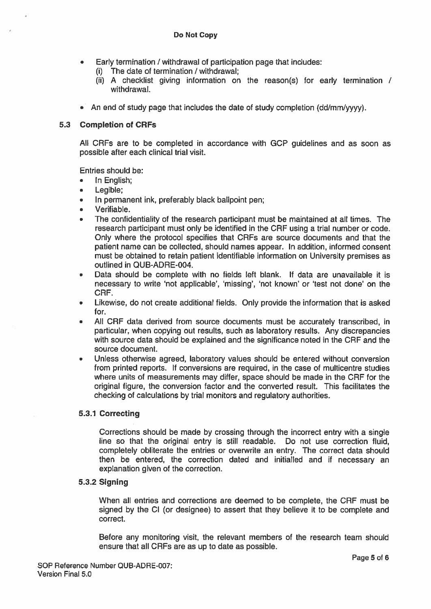- •Early termination / withdrawal of participation page that includes:
	- $(i)$  The date of termination / withdrawal;
	- (ii) A checklist giving information on the reason(s) for early termination / withdrawal.
- An end of study page that includes the date of study completion (dd/mm/yyyy).

# 5.3 Completion of CRFs

All CRFs are to be completed in accordance with GCP guidelines and as soon as possible after each clinical trial visit.

Entries should be:

- •In English;
- $\bullet$ Legible;
- •In permanen<sup>t</sup> ink, preferably black ballpoint pen;
- Verifiable.
- • The confidentiality of the research participant must be maintained at all times. The research participant must only be identified in the CRF using <sup>a</sup> trial number or code. Only where the protocol specifies that CRFs are source documents and that the patient name can be collected, should names appear. In addition, informed consent must be obtained to retain patient identifiable information on University premises as outlined in QUB-ADRE-004.
- • Data should be complete with no fields left blank. If data are unavailable it is necessary to write 'not applicable', 'missing', 'not known' or 'test not done' on the CRF.
- Likewise, do not create additional fields. Only provide the information that is asked for.
- • All CRF data derived from source documents must be accurately transcribed, in particular, when copying out results, such as laboratory results. Any discrepancies with source data should be explained and the significance noted in the CRF and the source document.
- • Unless otherwise agreed, laboratory values should be entered without conversion from printed reports. If conversions are required, in the case of multicentre studies where units of measurements may differ, space should be made in the CRF for the original figure, the conversion factor and the converted result. This facilitates the checking of calculations by trial monitors and regulatory authorities.

# 5.3.1 Correcting

Corrections should be made by crossing through the incorrect entry with <sup>a</sup> single line so that the original entry is still readable. Do not use correction fluid, completely obliterate the entries or overwrite an entry. The correct data should then be entered, the correction dated and initialled and if necessary an explanation given of the correction.

# 5.3.2 Signing

When all entries and corrections are deemed to be complete, the CRF must be signed by the Cl (or designee) to assert that they believe it to be complete and correct.

Before any monitoring visit, the relevant members of the research team should ensure that all CRFs are as up to date as possible.